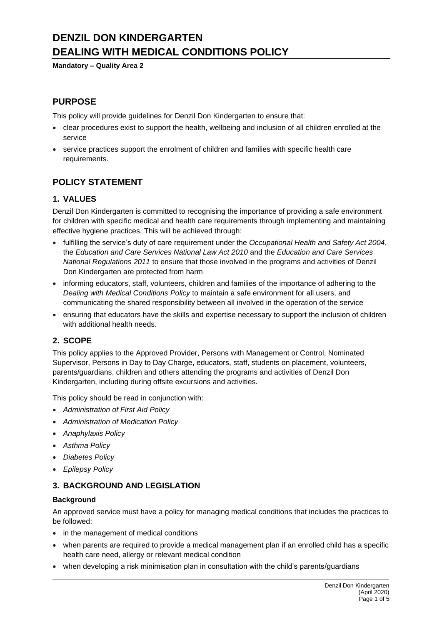# **DENZIL DON KINDERGARTEN DEALING WITH MEDICAL CONDITIONS POLICY**

**Mandatory – Quality Area 2**

## **PURPOSE**

This policy will provide guidelines for Denzil Don Kindergarten to ensure that:

- clear procedures exist to support the health, wellbeing and inclusion of all children enrolled at the service
- service practices support the enrolment of children and families with specific health care requirements.

# **POLICY STATEMENT**

### **1. VALUES**

Denzil Don Kindergarten is committed to recognising the importance of providing a safe environment for children with specific medical and health care requirements through implementing and maintaining effective hygiene practices. This will be achieved through:

- fulfilling the service's duty of care requirement under the *Occupational Health and Safety Act 2004*, the *Education and Care Services National Law Act 2010* and the *Education and Care Services National Regulations 2011* to ensure that those involved in the programs and activities of Denzil Don Kindergarten are protected from harm
- informing educators, staff, volunteers, children and families of the importance of adhering to the *Dealing with Medical Conditions Policy* to maintain a safe environment for all users, and communicating the shared responsibility between all involved in the operation of the service
- ensuring that educators have the skills and expertise necessary to support the inclusion of children with additional health needs.

### **2. SCOPE**

This policy applies to the Approved Provider, Persons with Management or Control, Nominated Supervisor, Persons in Day to Day Charge, educators, staff, students on placement, volunteers, parents/guardians, children and others attending the programs and activities of Denzil Don Kindergarten, including during offsite excursions and activities.

This policy should be read in conjunction with:

- *Administration of First Aid Policy*
- *Administration of Medication Policy*
- *Anaphylaxis Policy*
- *Asthma Policy*
- *Diabetes Policy*
- *Epilepsy Policy*

### **3. BACKGROUND AND LEGISLATION**

#### **Background**

An approved service must have a policy for managing medical conditions that includes the practices to be followed:

- in the management of medical conditions
- when parents are required to provide a medical management plan if an enrolled child has a specific health care need, allergy or relevant medical condition
- when developing a risk minimisation plan in consultation with the child's parents/quardians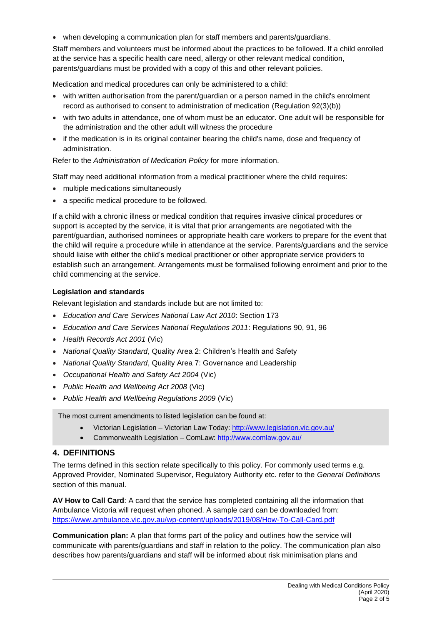• when developing a communication plan for staff members and parents/guardians.

Staff members and volunteers must be informed about the practices to be followed. If a child enrolled at the service has a specific health care need, allergy or other relevant medical condition, parents/guardians must be provided with a copy of this and other relevant policies.

Medication and medical procedures can only be administered to a child:

- with written authorisation from the parent/guardian or a person named in the child's enrolment record as authorised to consent to administration of medication (Regulation 92(3)(b))
- with two adults in attendance, one of whom must be an educator. One adult will be responsible for the administration and the other adult will witness the procedure
- if the medication is in its original container bearing the child's name, dose and frequency of administration.

Refer to the *Administration of Medication Policy* for more information.

Staff may need additional information from a medical practitioner where the child requires:

- multiple medications simultaneously
- a specific medical procedure to be followed.

If a child with a chronic illness or medical condition that requires invasive clinical procedures or support is accepted by the service, it is vital that prior arrangements are negotiated with the parent/guardian, authorised nominees or appropriate health care workers to prepare for the event that the child will require a procedure while in attendance at the service. Parents/guardians and the service should liaise with either the child's medical practitioner or other appropriate service providers to establish such an arrangement. Arrangements must be formalised following enrolment and prior to the child commencing at the service.

#### **Legislation and standards**

Relevant legislation and standards include but are not limited to:

- *Education and Care Services National Law Act 2010*: Section 173
- *Education and Care Services National Regulations 2011*: Regulations 90, 91, 96
- *Health Records Act 2001* (Vic)
- *National Quality Standard*, Quality Area 2: Children's Health and Safety
- *National Quality Standard*, Quality Area 7: Governance and Leadership
- *Occupational Health and Safety Act 2004* (Vic)
- *Public Health and Wellbeing Act 2008* (Vic)
- *Public Health and Wellbeing Regulations 2009* (Vic)

The most current amendments to listed legislation can be found at:

- Victorian Legislation Victorian Law Today[: http://www.legislation.vic.gov.au/](http://www.legislation.vic.gov.au/)
- Commonwealth Legislation ComLaw:<http://www.comlaw.gov.au/>

#### **4. DEFINITIONS**

The terms defined in this section relate specifically to this policy. For commonly used terms e.g. Approved Provider, Nominated Supervisor, Regulatory Authority etc. refer to the *General Definitions* section of this manual.

**AV How to Call Card**: A card that the service has completed containing all the information that Ambulance Victoria will request when phoned. A sample card can be downloaded from: <https://www.ambulance.vic.gov.au/wp-content/uploads/2019/08/How-To-Call-Card.pdf>

**Communication plan:** A plan that forms part of the policy and outlines how the service will communicate with parents/guardians and staff in relation to the policy. The communication plan also describes how parents/guardians and staff will be informed about risk minimisation plans and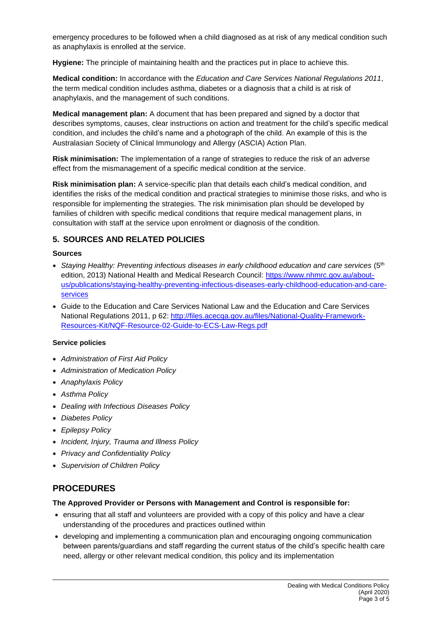emergency procedures to be followed when a child diagnosed as at risk of any medical condition such as anaphylaxis is enrolled at the service.

**Hygiene:** The principle of maintaining health and the practices put in place to achieve this.

**Medical condition:** In accordance with the *Education and Care Services National Regulations 2011*, the term medical condition includes asthma, diabetes or a diagnosis that a child is at risk of anaphylaxis, and the management of such conditions.

**Medical management plan:** A document that has been prepared and signed by a doctor that describes symptoms, causes, clear instructions on action and treatment for the child's specific medical condition, and includes the child's name and a photograph of the child. An example of this is the Australasian Society of Clinical Immunology and Allergy (ASCIA) Action Plan.

**Risk minimisation:** The implementation of a range of strategies to reduce the risk of an adverse effect from the mismanagement of a specific medical condition at the service.

**Risk minimisation plan:** A service-specific plan that details each child's medical condition, and identifies the risks of the medical condition and practical strategies to minimise those risks, and who is responsible for implementing the strategies. The risk minimisation plan should be developed by families of children with specific medical conditions that require medical management plans, in consultation with staff at the service upon enrolment or diagnosis of the condition.

### **5. SOURCES AND RELATED POLICIES**

#### **Sources**

- Staying Healthy: Preventing infectious diseases in early childhood education and care services (5<sup>th</sup>) edition, 2013) National Health and Medical Research Council: [https://www.nhmrc.gov.au/about](https://www.nhmrc.gov.au/about-us/publications/staying-healthy-preventing-infectious-diseases-early-childhood-education-and-care-services)[us/publications/staying-healthy-preventing-infectious-diseases-early-childhood-education-and-care](https://www.nhmrc.gov.au/about-us/publications/staying-healthy-preventing-infectious-diseases-early-childhood-education-and-care-services)[services](https://www.nhmrc.gov.au/about-us/publications/staying-healthy-preventing-infectious-diseases-early-childhood-education-and-care-services)
- *G*uide to the Education and Care Services National Law and the Education and Care Services National Regulations 2011, p 62: [http://files.acecqa.gov.au/files/National-Quality-Framework-](http://files.acecqa.gov.au/files/National-Quality-Framework-Resources-Kit/NQF-Resource-02-Guide-to-ECS-Law-Regs.pdf)[Resources-Kit/NQF-Resource-02-Guide-to-ECS-Law-Regs.pdf](http://files.acecqa.gov.au/files/National-Quality-Framework-Resources-Kit/NQF-Resource-02-Guide-to-ECS-Law-Regs.pdf)

#### **Service policies**

- *Administration of First Aid Policy*
- *Administration of Medication Policy*
- *Anaphylaxis Policy*
- *Asthma Policy*
- *Dealing with Infectious Diseases Policy*
- *Diabetes Policy*
- *Epilepsy Policy*
- *Incident, Injury, Trauma and Illness Policy*
- *Privacy and Confidentiality Policy*
- *Supervision of Children Policy*

# **PROCEDURES**

#### **The Approved Provider or Persons with Management and Control is responsible for:**

- ensuring that all staff and volunteers are provided with a copy of this policy and have a clear understanding of the procedures and practices outlined within
- developing and implementing a communication plan and encouraging ongoing communication between parents/guardians and staff regarding the current status of the child's specific health care need, allergy or other relevant medical condition, this policy and its implementation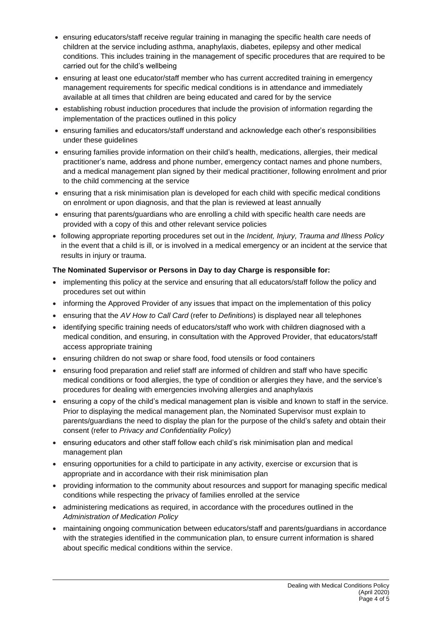- ensuring educators/staff receive regular training in managing the specific health care needs of children at the service including asthma, anaphylaxis, diabetes, epilepsy and other medical conditions. This includes training in the management of specific procedures that are required to be carried out for the child's wellbeing
- ensuring at least one educator/staff member who has current accredited training in emergency management requirements for specific medical conditions is in attendance and immediately available at all times that children are being educated and cared for by the service
- establishing robust induction procedures that include the provision of information regarding the implementation of the practices outlined in this policy
- ensuring families and educators/staff understand and acknowledge each other's responsibilities under these guidelines
- ensuring families provide information on their child's health, medications, allergies, their medical practitioner's name, address and phone number, emergency contact names and phone numbers, and a medical management plan signed by their medical practitioner, following enrolment and prior to the child commencing at the service
- ensuring that a risk minimisation plan is developed for each child with specific medical conditions on enrolment or upon diagnosis, and that the plan is reviewed at least annually
- ensuring that parents/guardians who are enrolling a child with specific health care needs are provided with a copy of this and other relevant service policies
- following appropriate reporting procedures set out in the *Incident, Injury, Trauma and Illness Policy* in the event that a child is ill, or is involved in a medical emergency or an incident at the service that results in injury or trauma.

#### **The Nominated Supervisor or Persons in Day to day Charge is responsible for:**

- implementing this policy at the service and ensuring that all educators/staff follow the policy and procedures set out within
- informing the Approved Provider of any issues that impact on the implementation of this policy
- ensuring that the *AV How to Call Card* (refer to *Definitions*) is displayed near all telephones
- identifying specific training needs of educators/staff who work with children diagnosed with a medical condition, and ensuring, in consultation with the Approved Provider, that educators/staff access appropriate training
- ensuring children do not swap or share food, food utensils or food containers
- ensuring food preparation and relief staff are informed of children and staff who have specific medical conditions or food allergies, the type of condition or allergies they have, and the service's procedures for dealing with emergencies involving allergies and anaphylaxis
- ensuring a copy of the child's medical management plan is visible and known to staff in the service. Prior to displaying the medical management plan, the Nominated Supervisor must explain to parents/guardians the need to display the plan for the purpose of the child's safety and obtain their consent (refer to *Privacy and Confidentiality Policy*)
- ensuring educators and other staff follow each child's risk minimisation plan and medical management plan
- ensuring opportunities for a child to participate in any activity, exercise or excursion that is appropriate and in accordance with their risk minimisation plan
- providing information to the community about resources and support for managing specific medical conditions while respecting the privacy of families enrolled at the service
- administering medications as required, in accordance with the procedures outlined in the *Administration of Medication Policy*
- maintaining ongoing communication between educators/staff and parents/guardians in accordance with the strategies identified in the communication plan, to ensure current information is shared about specific medical conditions within the service.